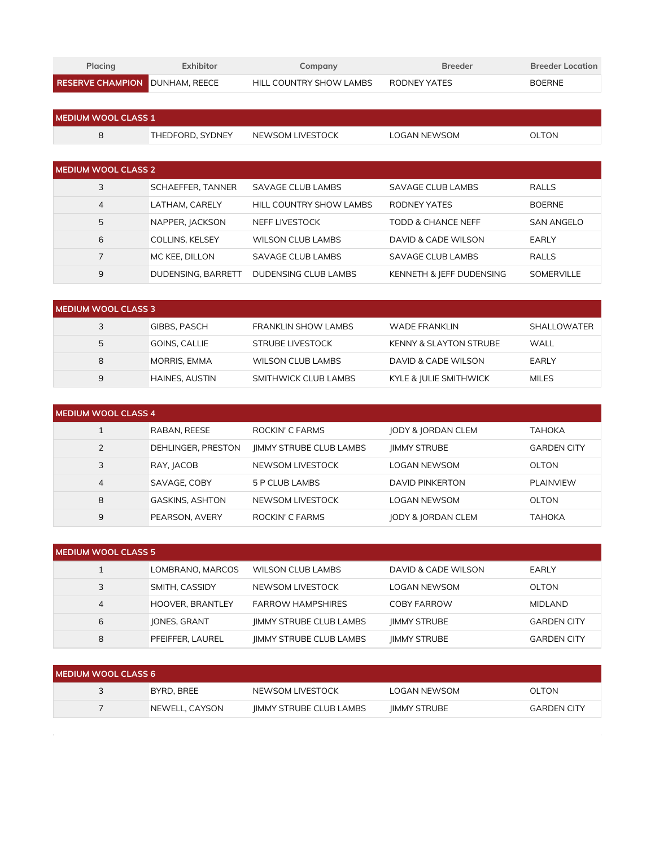| Placing                               | Exhibitor | Company                 | <b>Breeder</b> | <b>Breeder Location</b> |
|---------------------------------------|-----------|-------------------------|----------------|-------------------------|
| <b>RESERVE CHAMPION DUNHAM, REECE</b> |           | HILL COUNTRY SHOW LAMBS | RODNEY YATES   | <b>BOERNE</b>           |

| <b>MEDIUM WOOL CLASS 1</b> |                  |                  |              |              |
|----------------------------|------------------|------------------|--------------|--------------|
| ັ                          | THEDFORD, SYDNEY | NEWSOM LIVESTOCK | LOGAN NEWSOM | <b>OLTON</b> |

| <b>MEDIUM WOOL CLASS 2</b> |                           |                          |                          |                   |
|----------------------------|---------------------------|--------------------------|--------------------------|-------------------|
| 3                          | SCHAEFFER, TANNER         | <b>SAVAGE CLUB LAMBS</b> | SAVAGE CLUB LAMBS        | <b>RALLS</b>      |
| 4                          | LATHAM. CARELY            | HILL COUNTRY SHOW LAMBS  | RODNEY YATES             | <b>BOERNE</b>     |
| 5                          | NAPPER, JACKSON           | NEFF LIVESTOCK           | TODD & CHANCE NEFF       | <b>SAN ANGELO</b> |
| 6                          | <b>COLLINS, KELSEY</b>    | WILSON CLUB LAMBS        | DAVID & CADE WILSON      | <b>EARLY</b>      |
|                            | MC KEE, DILLON            | SAVAGE CLUB LAMBS        | SAVAGE CLUB LAMBS        | <b>RALLS</b>      |
| 9                          | <b>DUDENSING, BARRETT</b> | DUDENSING CLUB LAMBS     | KENNETH & JEFF DUDENSING | <b>SOMERVILLE</b> |

| <b>I MEDIUM WOOL CLASS 3</b> |                       |                      |                                   |              |
|------------------------------|-----------------------|----------------------|-----------------------------------|--------------|
| 3                            | <b>GIBBS, PASCH</b>   | FRANKLIN SHOW LAMBS  | WADE FRANKLIN                     | SHALLOWATER  |
| 5                            | GOINS, CALLIE         | STRUBE LIVESTOCK     | <b>KENNY &amp; SLAYTON STRUBE</b> | WALL         |
| 8                            | MORRIS, EMMA          | WILSON CLUB LAMBS    | DAVID & CADE WILSON               | EARLY        |
| 9                            | <b>HAINES, AUSTIN</b> | SMITHWICK CLUB LAMBS | KYLE & JULIE SMITHWICK            | <b>MILES</b> |

| <b>MEDIUM WOOL CLASS 4</b> |                        |                                |                               |                    |
|----------------------------|------------------------|--------------------------------|-------------------------------|--------------------|
|                            | RABAN, REESE           | <b>ROCKIN' C FARMS</b>         | <b>JODY &amp; JORDAN CLEM</b> | ТАНОКА             |
| $\overline{2}$             | DEHLINGER, PRESTON     | <b>IIMMY STRUBE CLUB LAMBS</b> | <b>IIMMY STRUBE</b>           | <b>GARDEN CITY</b> |
| 3                          | RAY, JACOB             | NEWSOM LIVESTOCK               | LOGAN NEWSOM                  | OLTON              |
| 4                          | SAVAGE, COBY           | 5 P CLUB LAMBS                 | <b>DAVID PINKERTON</b>        | <b>PLAINVIEW</b>   |
| 8                          | <b>GASKINS, ASHTON</b> | NEWSOM LIVESTOCK               | <b>LOGAN NEWSOM</b>           | OLTON              |
| 9                          | PEARSON, AVERY         | ROCKIN' C FARMS                | <b>JODY &amp; JORDAN CLEM</b> | ТАНОКА             |

| <b>I MEDIUM WOOL CLASS 5</b> |                         |                                |                     |                    |
|------------------------------|-------------------------|--------------------------------|---------------------|--------------------|
|                              | LOMBRANO, MARCOS        | WILSON CLUB LAMBS              | DAVID & CADE WILSON | EARLY              |
| 3                            | <b>SMITH, CASSIDY</b>   | NEWSOM LIVESTOCK               | LOGAN NEWSOM        | OLTON              |
| 4                            | <b>HOOVER, BRANTLEY</b> | <b>FARROW HAMPSHIRES</b>       | COBY FARROW         | <b>MIDLAND</b>     |
| 6                            | <b>JONES, GRANT</b>     | <b>IIMMY STRUBE CLUB LAMBS</b> | <b>IIMMY STRUBE</b> | <b>GARDEN CITY</b> |
| 8                            | PFEIFFER, LAUREL        | <b>IIMMY STRUBE CLUB LAMBS</b> | <b>IIMMY STRUBE</b> | <b>GARDEN CITY</b> |

| <b>IMEDIUM WOOL CLASS 6</b> |                |                                |                     |                    |
|-----------------------------|----------------|--------------------------------|---------------------|--------------------|
|                             | BYRD, BREE     | NEWSOM LIVESTOCK               | LOGAN NEWSOM        | <b>OLTON</b>       |
|                             | NEWELL, CAYSON | <b>IIMMY STRUBE CLUB LAMBS</b> | <b>IIMMY STRUBE</b> | <b>GARDEN CITY</b> |